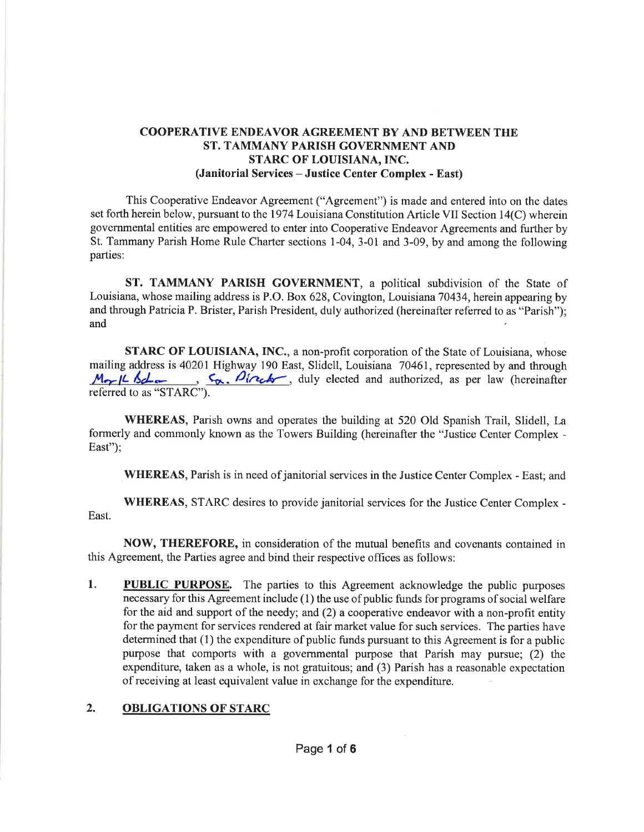### COOPERATIVE ENDEAVOR AGREEMENT BY AND BETWEEN THE ST. TAMMANY PARISH GOVERNMENT AND STARC OF LOUISIANA, INC. (Janitorial Services - Justice Center Complex - East)

This Cooperative Endeavor Agreement ("Agreement") is made and entered into on the dates set forth herein below, pursuant to the 1974 Louisiana Constitution Article VII Section 14(C) wherein governmental entities are empowered to enter into Cooperative Endeavor Agreements and fuither by St. Tammany Parish Home Rule Charter sections 1-04, 3-01 and 3-09, by and among the following parties:

ST. TAMMANY PARISH GOVERNMENT, a political subdivision of the State of Louisiana, whose mailing address is P.O. Box 628, Covington, Louisiana 70434, herein appearing by and through Patricia P. Brister, Parish President, duly authorized (hereinafter referred to as "Parish"); and

STARC OF LOUISIANA, INC., a non-profit corporation of the State of Louisiana, whose mailing address is 40201 Highway 190 East, Slidell, Louisiana 70461, represented by and through  $M_{\odot}/L \sim L$ ,  $\frac{C_{\odot}}{M_{\odot}}$ ,  $\frac{C_{\odot}}{M_{\odot}}$ ,  $\frac{C_{\odot}}{M_{\odot}}$ ,  $\frac{C_{\odot}}{M_{\odot}}$ , duly elected and authorized, as  $\zeta_{\alpha}$ ,  $\beta_{i\alpha}$ , duly elected and authorized, as per law (hereinafter referred to as "STARC").

WHEREAS, Parish owns and operates the building at 520 Old Spanish Trail, Slidell, La formerly and commonly known as the Towers Building (hereinafter the "Justice Center Complex - East":

WHEREAS, Parish is in need of janitorial services in the Justice Center Complex - East; and

WHEREAS, STARC desires to provide janitorial services for the Justice Center Complex - East.

NOW, THEREFORE, in consideration of the mutual benefits and covenants contained in this Agreement, the Parties agree and bind their respective offices as follows:

I **PUBLIC PURPOSE.** The parties to this Agreement acknowledge the public purposes necessary for this Agreement include ( 1) the use of public funds for programs of social welfare for the aid and support of the needy; and (2) a cooperative endeavor with a non-profit entity for the payment for services rendered at fair market value for such services. The parties have determined that (1) the expenditure of public funds pursuant to this Agreement is for a public purpose that comports with a governmental purpose that Parish may pusue; (2) the expenditure, taken as a whole, is not gratuitous; and (3) Parish has a reasonable expectation of receiving at least equivalent value in exchange for the expenditure

# 2. OBLIGATIONS OF STARC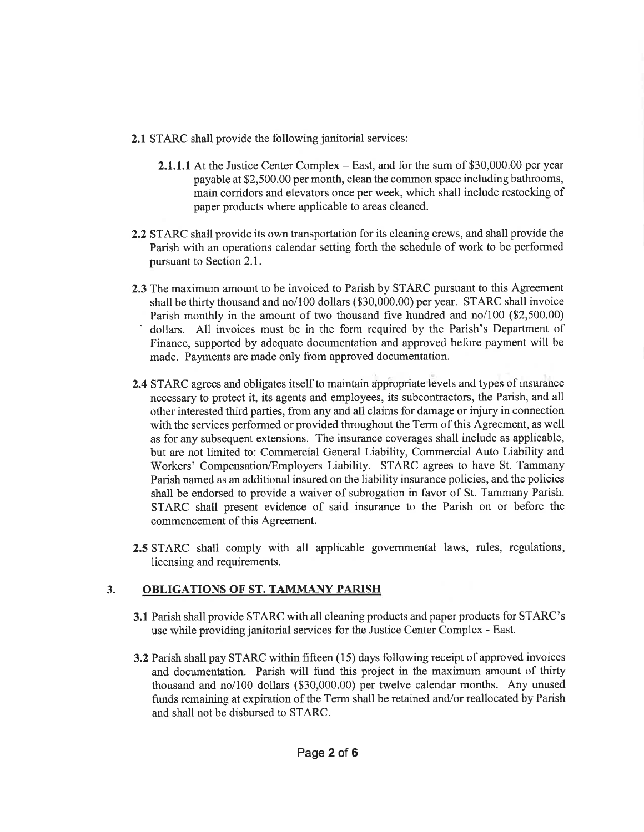- 2.1 STARC shall provide the following janitorial services:
	- 2.1.1.1 At the Justice Center Complex East, and for the sum of \$30,000.00 per year payable at \$2,500.00 per month, clean the common space including bathrooms, main corridors and elevators once per week, which shall include restocking of paper products where applicable to areas cleaned.
- 2.2 STARC shall provide its own transportation for its cleaning crews, and shall provide the Parish with an operations calendar setting forth the schedule of work to be performed pursuant to Section 2.1.
- 2.3 The maximum amount to be invoiced to Parish by STARC pursuant to this Agreement shall be thirty thousand and no/100 dollars (\$30,000.00) per year. STARC shall invoice<br>Parish monthly in the amount of two thousand five hundred and no/100 (\$2,500.00) dollars. All invoices must be in the form required by the Parish's Department of Finance, supported by adequate documentation and approved before payment will be made. Payments are made only from approved documentation.
- 2.4 STARC agrees and obligates itself to maintain appropriate levels and types of insurance necessary to protect it, its agents and employees, its subcontractors, the Parish, and all other interested third parties, from any and all claims for damage or injury in connection with the services performed or provided throughout the Term of this Agreement, as well as for any subsequent extensions. The insurance coverages shall include as applicable, but are not limited to: Commercial General Liability, Commercial Auto Liability and Workers' Compensation/Employers Liability. STARC agrees to have St. Tammany Parish named as an additional insured on the liability insurance policies, and the policies shall be endorsed to provide a waiver of subrogation in favor of St. Tammany Parish. STARC shall present evidence of said insurance to the Parish on or before the commencement of this Agreement.
- 2.5 STARC shall comply with all applicable governmental laws, rules, regulations, licensing and requirements.

# 3. OBLIGATIONS OF ST. TAMMANY PARISH

- 3.1 Parish shall provide STARC with all cleaning products and paper products for STARC' <sup>s</sup> use while providing janitorial services for the Justice Center Complex - East.
- 3.2 Parish shall pay STARC within fifteen (15) days following receipt of approved invoices and documentation. Parish will fund this project in the maximum amount of thirty thousand and no/100 dollars (\$30,000.00) per twelve calendar months. Any unused funds remaining at expiration of the Term shall be retained and/or reallocated by Parish and shall not be disbursed to STARC.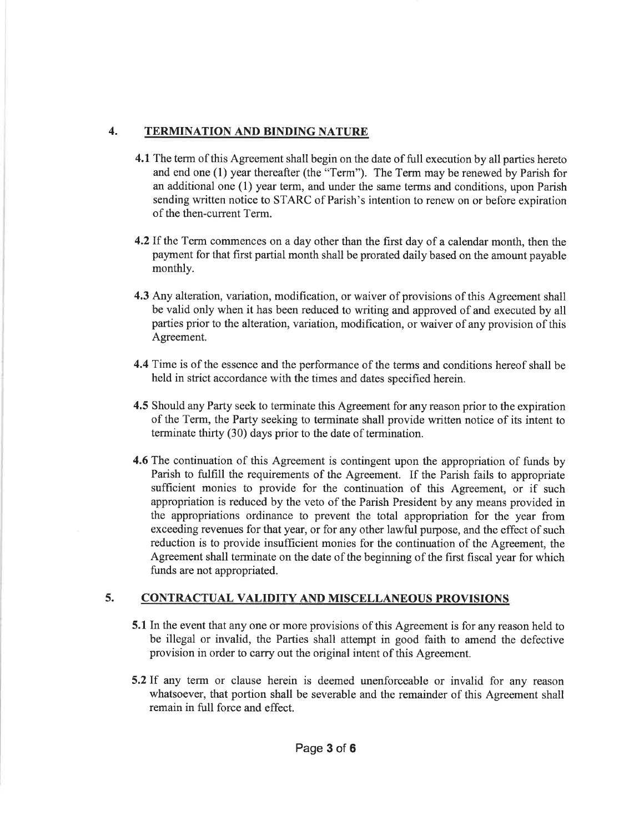### 4. TERMINATION AND BINDING NATURE

- 4.1 The term of this Agreement shall begin on the date of full execution by all parties hereto and end one (l) year thereafter (the "Term"). The Term may be renewed by Parish for an additional one (1) year term, and under the same terms and conditions, upon Parish sending written notice to STARC of Parish's intention to renew on or before expiration of the then-current Term.
- 4.2If the Term commences on a day other than the first day of a calendar month, then the payment for that first partial month shall be prorated daily based on the amount payable monthly.
- 4.3 Any alteration, variation, modification, or waiver of provisions of this Agreement shall be valid only when it has been reduced to writing and approved of and executed by all parties prior to the alteration, variation, modification, or waiver of any provision of this Agreement.
- 4.4 Time is of the essence and the performance of the terms and conditions hereof shall be held in strict accordance with the times and dates specified herein.
- 4.5 Should any Party seek to terminate this Agreement for any reason prior to the expiration of the Term, the Party seeking to terminate shall provide written notice of its intent to terminate thirty (30) days prior to the date of termination.
- 4.6 The continuation of this Agreement is contingent upon the appropriation of funds by Parish to fulfill the requirements of the Agreement. If the Parish fails to appropriate sufficient monies to provide for the continuation of this Agreement, or if such appropriation is reduced by the veto of the Parish President by any means provided in the appropriations ordinance to prevent the total appropriation for the year from exceeding revenues for that year, or for any other lawful purpose, and the effect of such reduction is to provide insufficient monies for the continuation of the Agreement, the Agreement shall terminate on the date of the beginning of the first fiscal year for which funds are not appropriated.

# 5. CONTRACTUAL VALIDITY AND MISCELLANEOUS PROVISIONS

- 5.1 In the event that any one or more provisions of this Agreement is for any reason held to be illegal or invalid, the Parties shall attempt in good faith to amend the defective provision in order to carry out the original intent of this Agreement.
- 5.2If any term or clause herein is deemed unenforceable or invalid for any reason whatsoever, that portion shall be severable and the remainder of this Agreement shall remain in full force and effect.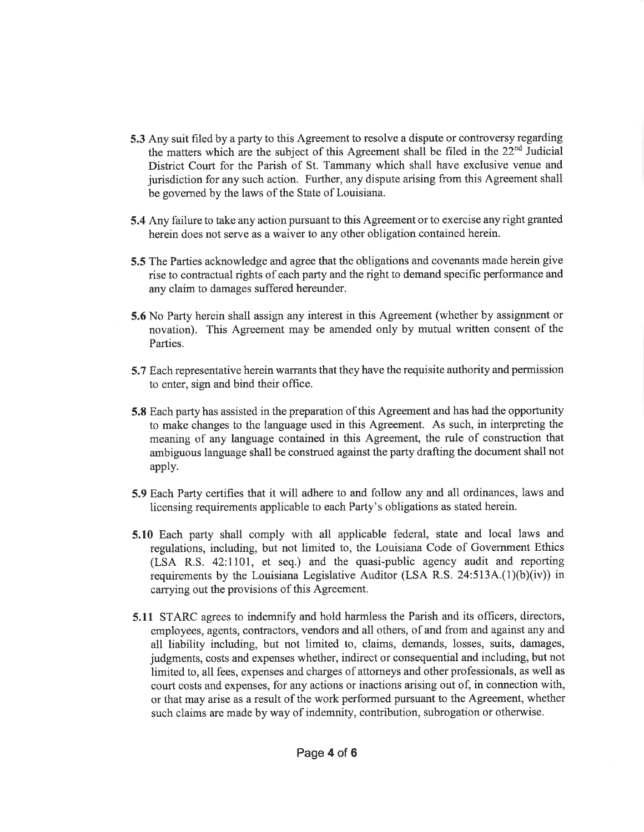- 5.3 Any suit filed by a party to this Agreement to resolve a dispute or controversy regarding the matters which are the subject of this Agreement shall be filed in the 22"d Judicial District Court for the Parish of St. Tammany which shall have exclusive venue and jurisdiction for any such action. Further, any dispute arising from this Agreement shall be governed by the laws of the State of Louisiana.
- 5.4 Any failure to take any action pursuant to this Agreement or to exercise any right granted herein does not serve as a waiver to any other obligation contained herein.
- 5.5 The Parties acknowledge and agree that the obligations and covenants made herein give rise to contractual rights of each party and the right to demand specific performance and any claim to damages suffered hereunder.
- 5.6 No Party herein shall assign any interest in this Agreement (whether by assignment or novation). This Agreement may be amended only by mutual written consent of the Parties.
- 5.7 Each representative herein warrants that they have the requisite authority and permission to enter, sign and bind their office.
- 5.8 Each party has assisted in the preparation of this Agreement and has had the opportunity to make changes to the language used in this Agreement. As such, in interpreting the meaning of any language contained in this Agreement, the ru1e of construction that ambiguous language shall be construed against the party drafting the document shall not apply.
- 5.9 Each Party certifies that it will adhere to and follow any and all ordinances, laws and licensing requirements applicable to each Party's obligations as stated herein.
- 5.10 Each party shall comply with all applicable federal, state and local laws and regulations, including, but not limited to, the Louisiana Code of Government Ethics (LSA R.S. 42:lI0l, et seq.) and the quasi-public agency audit and reporting requirements by the Louisiana Legislative Auditor (LSA R.S.  $24:513A(1)(b)(iv)$ ) in carrying out the provisions of this Agreement.
- 5.11 STARC agrees to indemnify and hold harmless the Parish and its officers, directors, employees, agents, contractors, vendors and all others, of and from and against any and all liability including, but not limited to, claims, demands, losses, suits, damages, judgments, costs and expenses whether, indirect or consequential and including, but not limited to, all fees, expenses and charges of attorneys and other professionals, as well as court costs and expenses, for any actions or inactions arising out of, in connection with, or that may arise as a result of the work performed pursuant to the Agreement, whether such claims are made by way of indemnity, contribution, subrogation or otherwise.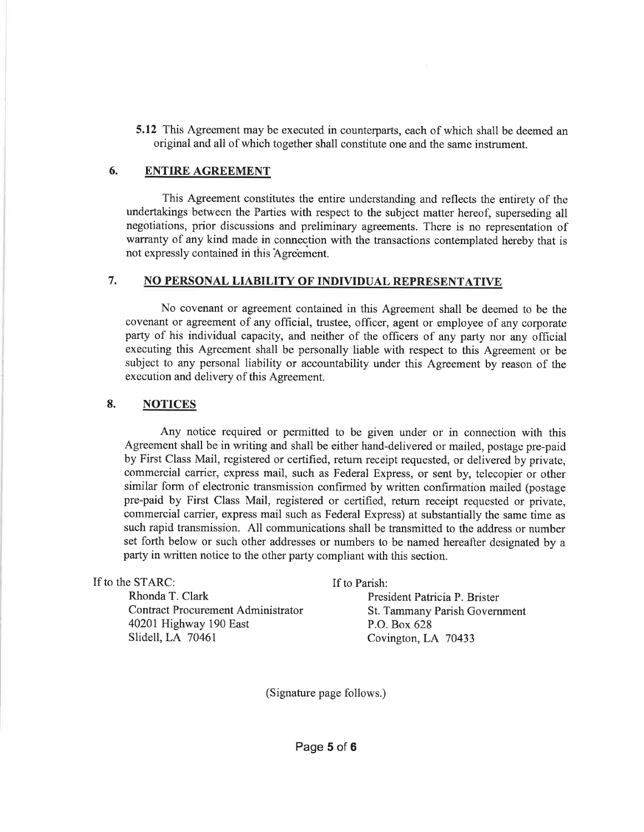5.12 This Agreement may be executed in counterparts, each of which shall be deemed an original and all of which together shall constitute one and the same instrument.

#### 6. ENTIRE AGREEMENT

This Agreement constitutes the entire understanding and reflects the entirety of the undertakings between the Parties with respect to the subject matter hereof, superseding all negotiations, prior discussions and preliminary agreements. There is no representation of warranty of any kind made in connection with the transactions contemplated hereby that is not expressly contained in this Agreement.

### 7. NO PERSONAL LIABILITY OF INDIVIDUAL REPRESENTATIVE

No covenant or agreement contained in this Agreement shall be deemed to be the covenant or agreement of any official, trustee, officer, agent or employee of any corporate party of his individual capacity, and neither of the officers of any party nor any official executing this Agreement shall be personally liable with respect to this Agreement or be subject to any personal liability or accountability under this Agreement by reason of the execution and delivery of this Agreement.

#### 8. NOTICES

Any notice required or permitted to be given under or in connection with this Agreement shall be in writing and shall be either hand-delivered or mailed, postage pre-paid by First Class Mail, registered or certified, return receipt requested, or delivered by private, commercial carrier, express mail, such as Federal Express, or sent by, telecopier or other similar form of electronic transmission confirmed by written confirmation mailed (postage pre-paid by First Class Mail, registered or certified, return receipt requested or private, commercial carrier, express mail such as Federal Express) at substantially the same time as such rapid transmission. All communications shall be transmitted to the address or number set forth below or such other addresses or numbers to be named hereafter designated by <sup>a</sup> party in written notice to the other party compliant with this section.

| If to the STARC:                   | If to Parish:                 |
|------------------------------------|-------------------------------|
| Rhonda T. Clark                    | President Patricia P. Brister |
| Contract Procurement Administrator | St. Tammany Parish Government |
| 40201 Highway 190 East             | P.O. Box 628                  |
| Slidell, LA 70461                  | Covington, LA 70433           |
|                                    |                               |

(Signature page follows.)